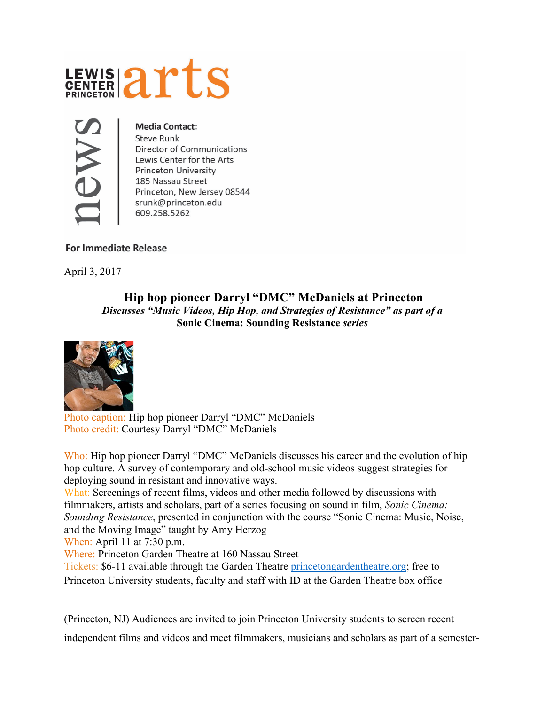



## **Media Contact:**

**Steve Runk** Director of Communications Lewis Center for the Arts Princeton University 185 Nassau Street Princeton, New Jersey 08544 srunk@princeton.edu 609.258.5262

## **For Immediate Release**

April 3, 2017

## **Hip hop pioneer Darryl "DMC" McDaniels at Princeton**  *Discusses "Music Videos, Hip Hop, and Strategies of Resistance" as part of a*  **Sonic Cinema: Sounding Resistance** *series*



 Photo caption: Hip hop pioneer Darryl "DMC" McDaniels Photo credit: Courtesy Darryl "DMC" McDaniels

Who: Hip hop pioneer Darryl "DMC" McDaniels discusses his career and the evolution of hip hop culture. A survey of contemporary and old-school music videos suggest strategies for deploying sound in resistant and innovative ways.

What: Screenings of recent films, videos and other media followed by discussions with filmmakers, artists and scholars, part of a series focusing on sound in film, *Sonic Cinema: Sounding Resistance*, presented in conjunction with the course "Sonic Cinema: Music, Noise, and the Moving Image" taught by Amy Herzog

When: April 11 at 7:30 p.m.

Where: Princeton Garden Theatre at 160 Nassau Street

Tickets: \$6-11 available through the Garden Theatre [princetongardentheatre.org](http://www.princetongardentheatre.org); free to Princeton University students, faculty and staff with ID at the Garden Theatre box office

(Princeton, NJ) Audiences are invited to join Princeton University students to screen recent independent films and videos and meet filmmakers, musicians and scholars as part of a semester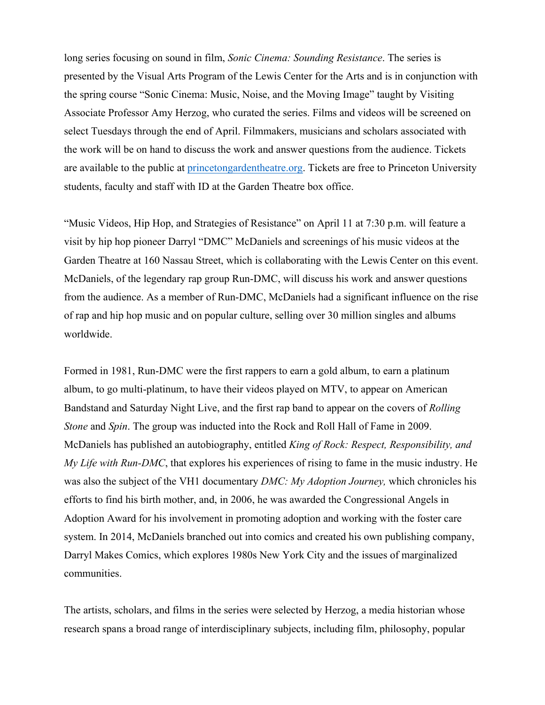long series focusing on sound in film, *Sonic Cinema: Sounding Resistance*. The series is presented by the Visual Arts Program of the Lewis Center for the Arts and is in conjunction with the spring course "Sonic Cinema: Music, Noise, and the Moving Image" taught by Visiting Associate Professor Amy Herzog, who curated the series. Films and videos will be screened on select Tuesdays through the end of April. Filmmakers, musicians and scholars associated with the work will be on hand to discuss the work and answer questions from the audience. Tickets are available to the public at [princetongardentheatre.org](http://princetongardentheatre.org/). Tickets are free to Princeton University students, faculty and staff with ID at the Garden Theatre box office.

"Music Videos, Hip Hop, and Strategies of Resistance" on April 11 at 7:30 p.m. will feature a visit by hip hop pioneer Darryl "DMC" McDaniels and screenings of his music videos at the Garden Theatre at 160 Nassau Street, which is collaborating with the Lewis Center on this event. McDaniels, of the legendary rap group Run-DMC, will discuss his work and answer questions from the audience. As a member of Run-DMC, McDaniels had a significant influence on the rise of rap and hip hop music and on popular culture, selling over 30 million singles and albums worldwide.

Formed in 1981, Run-DMC were the first rappers to earn a gold album, to earn a platinum album, to go multi-platinum, to have their videos played on MTV, to appear on American Bandstand and Saturday Night Live, and the first rap band to appear on the covers of *Rolling Stone* and *Spin*. The group was inducted into the Rock and Roll Hall of Fame in 2009. McDaniels has published an autobiography, entitled *King of Rock: Respect, Responsibility, and My Life with Run-DMC*, that explores his experiences of rising to fame in the music industry. He was also the subject of the VH1 documentary *DMC: My Adoption Journey,* which chronicles his efforts to find his birth mother, and, in 2006, he was awarded the Congressional Angels in Adoption Award for his involvement in promoting adoption and working with the foster care system. In 2014, McDaniels branched out into comics and created his own publishing company, Darryl Makes Comics, which explores 1980s New York City and the issues of marginalized communities.

The artists, scholars, and films in the series were selected by Herzog, a media historian whose research spans a broad range of interdisciplinary subjects, including film, philosophy, popular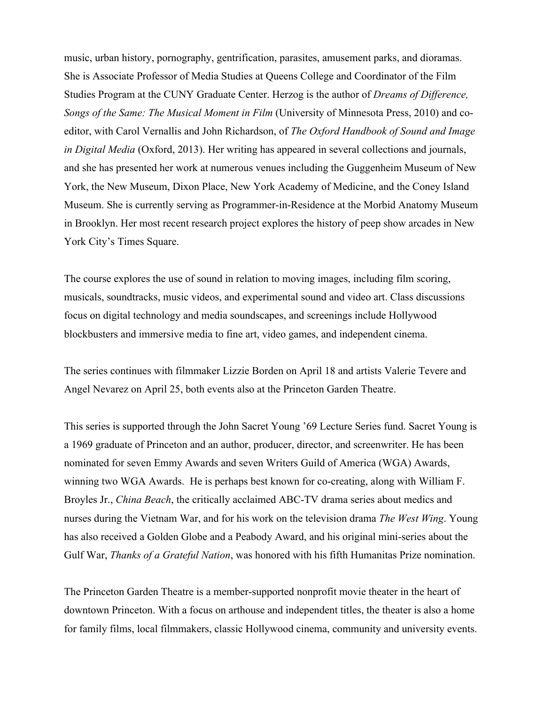music, urban history, pornography, gentrification, parasites, amusement parks, and dioramas. She is Associate Professor of Media Studies at Queens College and Coordinator of the Film Studies Program at the CUNY Graduate Center. Herzog is the author of *Dreams of Difference, Songs of the Same: The Musical Moment in Film* (University of Minnesota Press, 2010) and coeditor, with Carol Vernallis and John Richardson, of *The Oxford Handbook of Sound and Image in Digital Media* (Oxford, 2013). Her writing has appeared in several collections and journals, and she has presented her work at numerous venues including the Guggenheim Museum of New York, the New Museum, Dixon Place, New York Academy of Medicine, and the Coney Island Museum. She is currently serving as Programmer-in-Residence at the Morbid Anatomy Museum in Brooklyn. Her most recent research project explores the history of peep show arcades in New York City's Times Square.

The course explores the use of sound in relation to moving images, including film scoring, musicals, soundtracks, music videos, and experimental sound and video art. Class discussions focus on digital technology and media soundscapes, and screenings include Hollywood blockbusters and immersive media to fine art, video games, and independent cinema.

The series continues with filmmaker Lizzie Borden on April 18 and artists Valerie Tevere and Angel Nevarez on April 25, both events also at the Princeton Garden Theatre.

This series is supported through the John Sacret Young '69 Lecture Series fund. Sacret Young is a 1969 graduate of Princeton and an author, producer, director, and screenwriter. He has been nominated for seven Emmy Awards and seven Writers Guild of America (WGA) Awards, winning two WGA Awards. He is perhaps best known for co-creating, along with William F. Broyles Jr., *China Beach*, the critically acclaimed ABC-TV drama series about medics and nurses during the Vietnam War, and for his work on the television drama *The West Wing*. Young has also received a Golden Globe and a Peabody Award, and his original mini-series about the Gulf War, *Thanks of a Grateful Nation*, was honored with his fifth Humanitas Prize nomination.

The Princeton Garden Theatre is a member-supported nonprofit movie theater in the heart of downtown Princeton. With a focus on arthouse and independent titles, the theater is also a home for family films, local filmmakers, classic Hollywood cinema, community and university events.